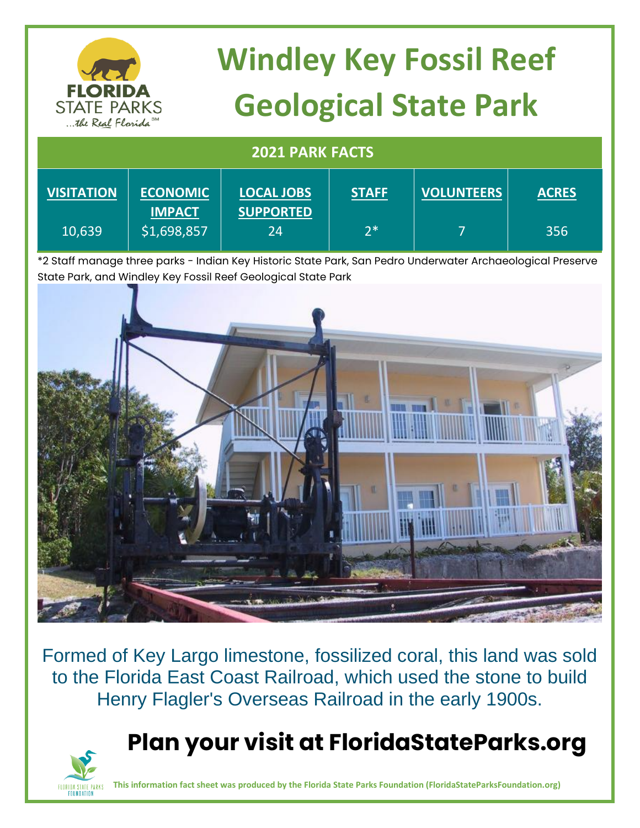| <b>FLORIDA</b><br><b>STATE PARKS</b> | <b>Windley Key Fossil Reef</b><br><b>Geological State Park</b> |  |  |  |  |
|--------------------------------------|----------------------------------------------------------------|--|--|--|--|
| the Real Florida <sup>SM</sup>       |                                                                |  |  |  |  |
| <b>2021 PARK FACTS</b>               |                                                                |  |  |  |  |

| <b>VISITATION</b> | <b>ECONOMIC</b><br><b>IMPACT</b> | <b>LOCAL JOBS</b><br><b>SUPPORTED</b> | <b>STAFF</b> | <b>VOLUNTEERS</b> | <b>ACRES</b> |
|-------------------|----------------------------------|---------------------------------------|--------------|-------------------|--------------|
| 10,639            | \$1,698,857                      | 24                                    | $7*$         |                   | 356          |

\*2 Staff manage three parks - Indian Key Historic State Park, San Pedro Underwater Archaeological Preserve State Park, and Windley Key Fossil Reef Geological State Park



Formed of Key Largo limestone, fossilized coral, this land was sold to the Florida East Coast Railroad, which used the stone to build Henry Flagler's Overseas Railroad in the early 1900s.

### **Plan your visit at FloridaStateParks.org**



**This information fact sheet was produced by the Florida State Parks Foundation (FloridaStateParksFoundation.org)**